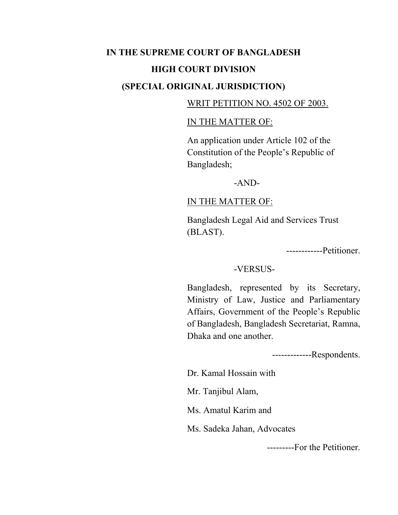# **IN THE SUPREME COURT OF BANGLADESH HIGH COURT DIVISION (SPECIAL ORIGINAL JURISDICTION)**

### WRIT PETITION NO. 4502 OF 2003.

#### IN THE MATTER OF:

An application under Article 102 of the Constitution of the People's Republic of Bangladesh;

#### -AND-

#### IN THE MATTER OF:

Bangladesh Legal Aid and Services Trust (BLAST).

------------Petitioner.

#### -VERSUS-

Bangladesh, represented by its Secretary, Ministry of Law, Justice and Parliamentary Affairs, Government of the People's Republic of Bangladesh, Bangladesh Secretariat, Ramna, Dhaka and one another.

-------------Respondents.

Dr. Kamal Hossain with

Mr. Tanjibul Alam,

Ms. Amatul Karim and

Ms. Sadeka Jahan, Advocates

---------For the Petitioner.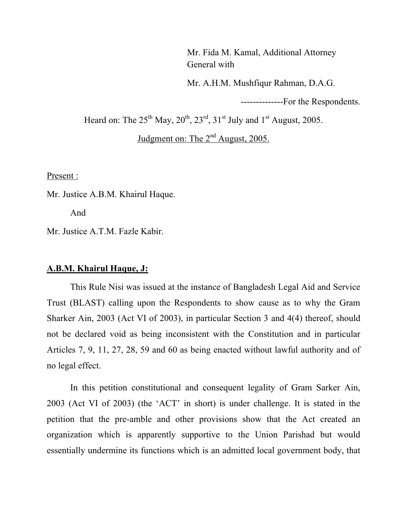Mr. Fida M. Kamal, Additional Attorney General with

Mr. A.H.M. Mushfiqur Rahman, D.A.G.

--------------For the Respondents.

Heard on: The  $25^{th}$  May,  $20^{th}$ ,  $23^{rd}$ ,  $31^{st}$  July and  $1^{st}$  August, 2005.

Judgment on: The 2<sup>nd</sup> August, 2005.

Present :

Mr. Justice A.B.M. Khairul Haque.

And

Mr. Justice A.T.M. Fazle Kabir.

#### **A.B.M. Khairul Haque, J:**

This Rule Nisi was issued at the instance of Bangladesh Legal Aid and Service Trust (BLAST) calling upon the Respondents to show cause as to why the Gram Sharker Ain, 2003 (Act VI of 2003), in particular Section 3 and 4(4) thereof, should not be declared void as being inconsistent with the Constitution and in particular Articles 7, 9, 11, 27, 28, 59 and 60 as being enacted without lawful authority and of no legal effect.

In this petition constitutional and consequent legality of Gram Sarker Ain, 2003 (Act VI of 2003) (the 'ACT' in short) is under challenge. It is stated in the petition that the pre-amble and other provisions show that the Act created an organization which is apparently supportive to the Union Parishad but would essentially undermine its functions which is an admitted local government body, that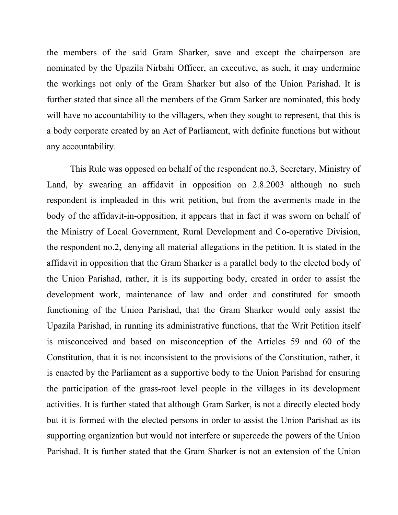the members of the said Gram Sharker, save and except the chairperson are nominated by the Upazila Nirbahi Officer, an executive, as such, it may undermine the workings not only of the Gram Sharker but also of the Union Parishad. It is further stated that since all the members of the Gram Sarker are nominated, this body will have no accountability to the villagers, when they sought to represent, that this is a body corporate created by an Act of Parliament, with definite functions but without any accountability.

This Rule was opposed on behalf of the respondent no.3, Secretary, Ministry of Land, by swearing an affidavit in opposition on 2.8.2003 although no such respondent is impleaded in this writ petition, but from the averments made in the body of the affidavit-in-opposition, it appears that in fact it was sworn on behalf of the Ministry of Local Government, Rural Development and Co-operative Division, the respondent no.2, denying all material allegations in the petition. It is stated in the affidavit in opposition that the Gram Sharker is a parallel body to the elected body of the Union Parishad, rather, it is its supporting body, created in order to assist the development work, maintenance of law and order and constituted for smooth functioning of the Union Parishad, that the Gram Sharker would only assist the Upazila Parishad, in running its administrative functions, that the Writ Petition itself is misconceived and based on misconception of the Articles 59 and 60 of the Constitution, that it is not inconsistent to the provisions of the Constitution, rather, it is enacted by the Parliament as a supportive body to the Union Parishad for ensuring the participation of the grass-root level people in the villages in its development activities. It is further stated that although Gram Sarker, is not a directly elected body but it is formed with the elected persons in order to assist the Union Parishad as its supporting organization but would not interfere or supercede the powers of the Union Parishad. It is further stated that the Gram Sharker is not an extension of the Union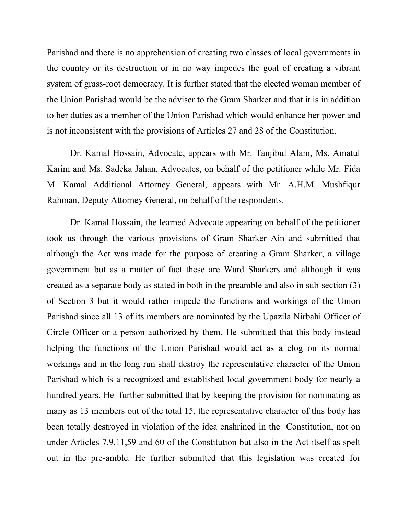Parishad and there is no apprehension of creating two classes of local governments in the country or its destruction or in no way impedes the goal of creating a vibrant system of grass-root democracy. It is further stated that the elected woman member of the Union Parishad would be the adviser to the Gram Sharker and that it is in addition to her duties as a member of the Union Parishad which would enhance her power and is not inconsistent with the provisions of Articles 27 and 28 of the Constitution.

Dr. Kamal Hossain, Advocate, appears with Mr. Tanjibul Alam, Ms. Amatul Karim and Ms. Sadeka Jahan, Advocates, on behalf of the petitioner while Mr. Fida M. Kamal Additional Attorney General, appears with Mr. A.H.M. Mushfiqur Rahman, Deputy Attorney General, on behalf of the respondents.

Dr. Kamal Hossain, the learned Advocate appearing on behalf of the petitioner took us through the various provisions of Gram Sharker Ain and submitted that although the Act was made for the purpose of creating a Gram Sharker, a village government but as a matter of fact these are Ward Sharkers and although it was created as a separate body as stated in both in the preamble and also in sub-section (3) of Section 3 but it would rather impede the functions and workings of the Union Parishad since all 13 of its members are nominated by the Upazila Nirbahi Officer of Circle Officer or a person authorized by them. He submitted that this body instead helping the functions of the Union Parishad would act as a clog on its normal workings and in the long run shall destroy the representative character of the Union Parishad which is a recognized and established local government body for nearly a hundred years. He further submitted that by keeping the provision for nominating as many as 13 members out of the total 15, the representative character of this body has been totally destroyed in violation of the idea enshrined in the Constitution, not on under Articles 7,9,11,59 and 60 of the Constitution but also in the Act itself as spelt out in the pre-amble. He further submitted that this legislation was created for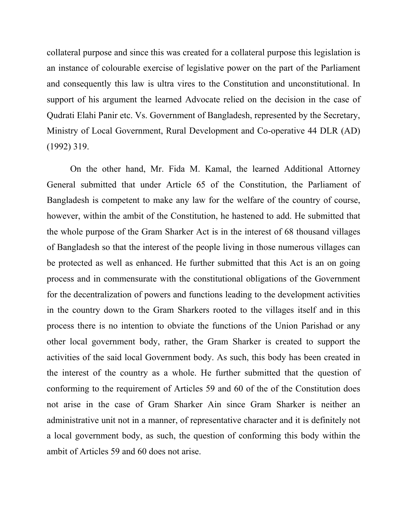collateral purpose and since this was created for a collateral purpose this legislation is an instance of colourable exercise of legislative power on the part of the Parliament and consequently this law is ultra vires to the Constitution and unconstitutional. In support of his argument the learned Advocate relied on the decision in the case of Qudrati Elahi Panir etc. Vs. Government of Bangladesh, represented by the Secretary, Ministry of Local Government, Rural Development and Co-operative 44 DLR (AD) (1992) 319.

On the other hand, Mr. Fida M. Kamal, the learned Additional Attorney General submitted that under Article 65 of the Constitution, the Parliament of Bangladesh is competent to make any law for the welfare of the country of course, however, within the ambit of the Constitution, he hastened to add. He submitted that the whole purpose of the Gram Sharker Act is in the interest of 68 thousand villages of Bangladesh so that the interest of the people living in those numerous villages can be protected as well as enhanced. He further submitted that this Act is an on going process and in commensurate with the constitutional obligations of the Government for the decentralization of powers and functions leading to the development activities in the country down to the Gram Sharkers rooted to the villages itself and in this process there is no intention to obviate the functions of the Union Parishad or any other local government body, rather, the Gram Sharker is created to support the activities of the said local Government body. As such, this body has been created in the interest of the country as a whole. He further submitted that the question of conforming to the requirement of Articles 59 and 60 of the of the Constitution does not arise in the case of Gram Sharker Ain since Gram Sharker is neither an administrative unit not in a manner, of representative character and it is definitely not a local government body, as such, the question of conforming this body within the ambit of Articles 59 and 60 does not arise.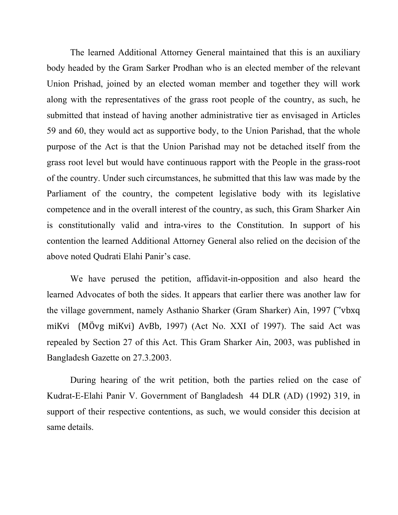The learned Additional Attorney General maintained that this is an auxiliary body headed by the Gram Sarker Prodhan who is an elected member of the relevant Union Prishad, joined by an elected woman member and together they will work along with the representatives of the grass root people of the country, as such, he submitted that instead of having another administrative tier as envisaged in Articles 59 and 60, they would act as supportive body, to the Union Parishad, that the whole purpose of the Act is that the Union Parishad may not be detached itself from the grass root level but would have continuous rapport with the People in the grass-root of the country. Under such circumstances, he submitted that this law was made by the Parliament of the country, the competent legislative body with its legislative competence and in the overall interest of the country, as such, this Gram Sharker Ain is constitutionally valid and intra-vires to the Constitution. In support of his contention the learned Additional Attorney General also relied on the decision of the above noted Qudrati Elahi Panir's case.

We have perused the petition, affidavit-in-opposition and also heard the learned Advocates of both the sides. It appears that earlier there was another law for the village government, namely Asthanio Sharker (Gram Sharker) Ain, 1997 ("'vbxq( miKvi ( MÖvg miKvi) AvBb, 1997) (Act No. XXI of 1997). The said Act was repealed by Section 27 of this Act. This Gram Sharker Ain, 2003, was published in Bangladesh Gazette on 27.3.2003.

During hearing of the writ petition, both the parties relied on the case of Kudrat-E-Elahi Panir V. Government of Bangladesh 44 DLR (AD) (1992) 319, in support of their respective contentions, as such, we would consider this decision at same details.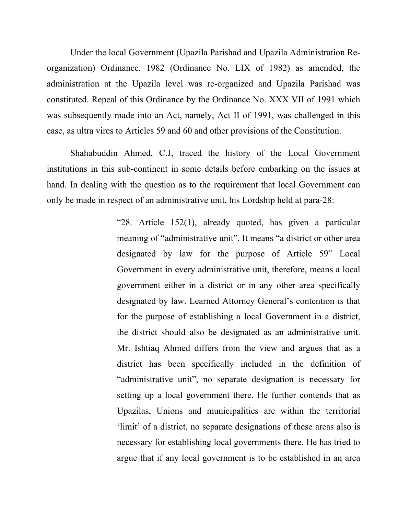Under the local Government (Upazila Parishad and Upazila Administration Reorganization) Ordinance, 1982 (Ordinance No. LIX of 1982) as amended, the administration at the Upazila level was re-organized and Upazila Parishad was constituted. Repeal of this Ordinance by the Ordinance No. XXX VII of 1991 which was subsequently made into an Act, namely, Act II of 1991, was challenged in this case, as ultra vires to Articles 59 and 60 and other provisions of the Constitution.

Shahabuddin Ahmed, C.J, traced the history of the Local Government institutions in this sub-continent in some details before embarking on the issues at hand. In dealing with the question as to the requirement that local Government can only be made in respect of an administrative unit, his Lordship held at para-28:

> "28. Article 152(1), already quoted, has given a particular meaning of "administrative unit". It means "a district or other area designated by law for the purpose of Article 59" Local Government in every administrative unit, therefore, means a local government either in a district or in any other area specifically designated by law. Learned Attorney General's contention is that for the purpose of establishing a local Government in a district, the district should also be designated as an administrative unit. Mr. Ishtiaq Ahmed differs from the view and argues that as a district has been specifically included in the definition of "administrative unit", no separate designation is necessary for setting up a local government there. He further contends that as Upazilas, Unions and municipalities are within the territorial 'limit' of a district, no separate designations of these areas also is necessary for establishing local governments there. He has tried to argue that if any local government is to be established in an area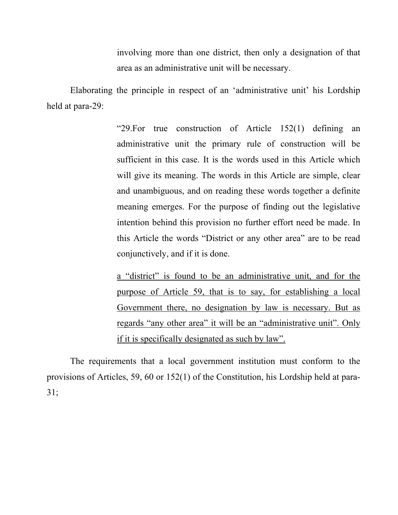involving more than one district, then only a designation of that area as an administrative unit will be necessary.

Elaborating the principle in respect of an 'administrative unit' his Lordship held at para-29:

> "29.For true construction of Article 152(1) defining an administrative unit the primary rule of construction will be sufficient in this case. It is the words used in this Article which will give its meaning. The words in this Article are simple, clear and unambiguous, and on reading these words together a definite meaning emerges. For the purpose of finding out the legislative intention behind this provision no further effort need be made. In this Article the words "District or any other area" are to be read conjunctively, and if it is done.

> a "district" is found to be an administrative unit, and for the purpose of Article 59, that is to say, for establishing a local Government there, no designation by law is necessary. But as regards "any other area" it will be an "administrative unit". Only if it is specifically designated as such by law".

The requirements that a local government institution must conform to the provisions of Articles, 59, 60 or 152(1) of the Constitution, his Lordship held at para-31;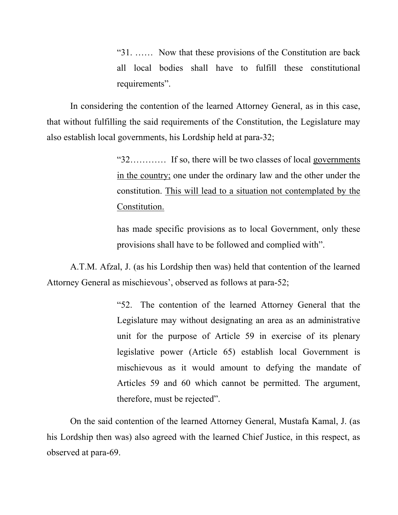"31. …… Now that these provisions of the Constitution are back all local bodies shall have to fulfill these constitutional requirements".

In considering the contention of the learned Attorney General, as in this case, that without fulfilling the said requirements of the Constitution, the Legislature may also establish local governments, his Lordship held at para-32;

> "32………… If so, there will be two classes of local governments in the country; one under the ordinary law and the other under the constitution. This will lead to a situation not contemplated by the Constitution.

> has made specific provisions as to local Government, only these provisions shall have to be followed and complied with".

A.T.M. Afzal, J. (as his Lordship then was) held that contention of the learned Attorney General as mischievous', observed as follows at para-52;

> "52. The contention of the learned Attorney General that the Legislature may without designating an area as an administrative unit for the purpose of Article 59 in exercise of its plenary legislative power (Article 65) establish local Government is mischievous as it would amount to defying the mandate of Articles 59 and 60 which cannot be permitted. The argument, therefore, must be rejected".

On the said contention of the learned Attorney General, Mustafa Kamal, J. (as his Lordship then was) also agreed with the learned Chief Justice, in this respect, as observed at para-69.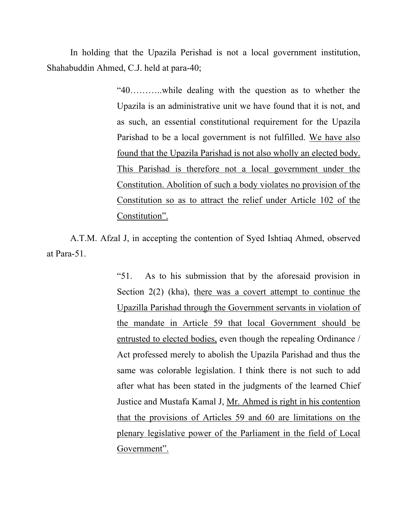In holding that the Upazila Perishad is not a local government institution, Shahabuddin Ahmed, C.J. held at para-40;

> "40………..while dealing with the question as to whether the Upazila is an administrative unit we have found that it is not, and as such, an essential constitutional requirement for the Upazila Parishad to be a local government is not fulfilled. We have also found that the Upazila Parishad is not also wholly an elected body. This Parishad is therefore not a local government under the Constitution. Abolition of such a body violates no provision of the Constitution so as to attract the relief under Article 102 of the Constitution".

A.T.M. Afzal J, in accepting the contention of Syed Ishtiaq Ahmed, observed at Para-51.

> "51. As to his submission that by the aforesaid provision in Section 2(2) (kha), there was a covert attempt to continue the Upazilla Parishad through the Government servants in violation of the mandate in Article 59 that local Government should be entrusted to elected bodies, even though the repealing Ordinance / Act professed merely to abolish the Upazila Parishad and thus the same was colorable legislation. I think there is not such to add after what has been stated in the judgments of the learned Chief Justice and Mustafa Kamal J, Mr. Ahmed is right in his contention that the provisions of Articles 59 and 60 are limitations on the plenary legislative power of the Parliament in the field of Local Government".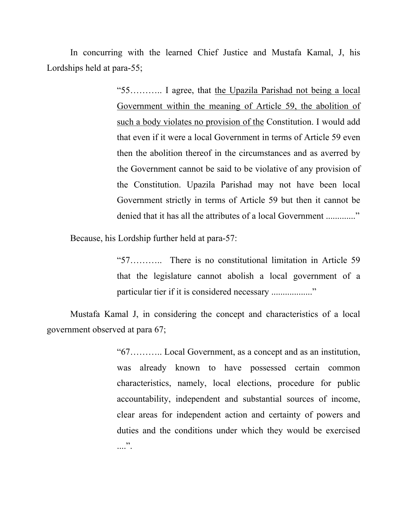In concurring with the learned Chief Justice and Mustafa Kamal, J, his Lordships held at para-55;

> "55……….. I agree, that the Upazila Parishad not being a local Government within the meaning of Article 59, the abolition of such a body violates no provision of the Constitution. I would add that even if it were a local Government in terms of Article 59 even then the abolition thereof in the circumstances and as averred by the Government cannot be said to be violative of any provision of the Constitution. Upazila Parishad may not have been local Government strictly in terms of Article 59 but then it cannot be denied that it has all the attributes of a local Government ............."

Because, his Lordship further held at para-57:

"57……….. There is no constitutional limitation in Article 59 that the legislature cannot abolish a local government of a particular tier if it is considered necessary ..................."

Mustafa Kamal J, in considering the concept and characteristics of a local government observed at para 67;

> "67……….. Local Government, as a concept and as an institution, was already known to have possessed certain common characteristics, namely, local elections, procedure for public accountability, independent and substantial sources of income, clear areas for independent action and certainty of powers and duties and the conditions under which they would be exercised  $\ldots$  .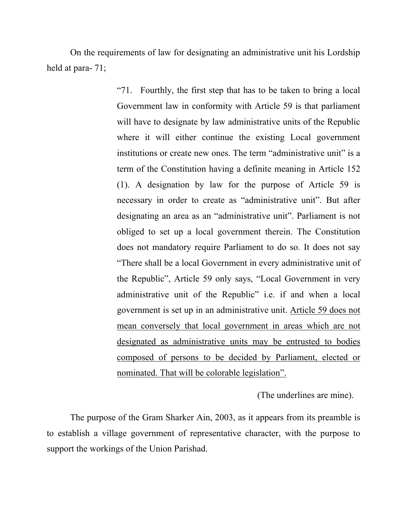On the requirements of law for designating an administrative unit his Lordship held at para- 71;

> "71. Fourthly, the first step that has to be taken to bring a local Government law in conformity with Article 59 is that parliament will have to designate by law administrative units of the Republic where it will either continue the existing Local government institutions or create new ones. The term "administrative unit" is a term of the Constitution having a definite meaning in Article 152 (1). A designation by law for the purpose of Article 59 is necessary in order to create as "administrative unit". But after designating an area as an "administrative unit". Parliament is not obliged to set up a local government therein. The Constitution does not mandatory require Parliament to do so. It does not say "There shall be a local Government in every administrative unit of the Republic", Article 59 only says, "Local Government in very administrative unit of the Republic" i.e. if and when a local government is set up in an administrative unit. Article 59 does not mean conversely that local government in areas which are not designated as administrative units may be entrusted to bodies composed of persons to be decided by Parliament, elected or nominated. That will be colorable legislation".

> > (The underlines are mine).

The purpose of the Gram Sharker Ain, 2003, as it appears from its preamble is to establish a village government of representative character, with the purpose to support the workings of the Union Parishad.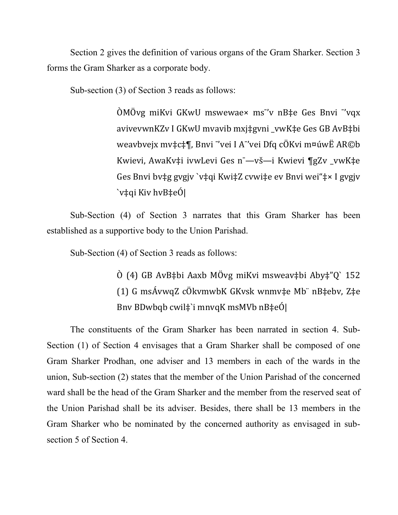Section 2 gives the definition of various organs of the Gram Sharker. Section 3 forms the Gram Sharker as a corporate body.

Sub-section (3) of Section 3 reads as follows:

 $\tilde{O}$ MÖvg miKvi GKwU mswewae× ms"v nB‡e Ges Bnvi "vqx avivevwnKZv I GKwU mvavib mxj‡gvni vwK‡e Ges GB AvB‡bi weavbvejx mv‡c‡¶, Bnvi "vei I A"vei Dfq cÖKvi m¤úwË AR©b Kwievi, AwaKv‡i ivwLevi Ges n<sup>-</sup>—vš—i Kwievi ¶gZv\_vwK‡e Ges Bnvi bv‡g gvgjv `v‡qi Kwi‡Z cvwi‡e ev Bnvi wei"‡× I gvgjv  $\forall$ ‡qi Kiv hvB $\ddagger$ eÓ|

Sub-Section (4) of Section 3 narrates that this Gram Sharker has been established as a supportive body to the Union Parishad.

Sub-Section (4) of Section 3 reads as follows:

 $\dot{O}$  (4) GB AvB‡bi Aaxb MÖvg miKvi msweav‡bi Aby‡"Q` 152 (1) G msÁvwqZ cÖkvmwbK GKvsk wnmv‡e Mb nB‡ebv, Z‡e Bnv BDwbqb cwil $\ddagger$ 'i mnvqK msMVb nB $\ddagger$ eÓ|

The constituents of the Gram Sharker has been narrated in section 4. Sub-Section (1) of Section 4 envisages that a Gram Sharker shall be composed of one Gram Sharker Prodhan, one adviser and 13 members in each of the wards in the union, Sub-section (2) states that the member of the Union Parishad of the concerned ward shall be the head of the Gram Sharker and the member from the reserved seat of the Union Parishad shall be its adviser. Besides, there shall be 13 members in the Gram Sharker who be nominated by the concerned authority as envisaged in subsection 5 of Section 4.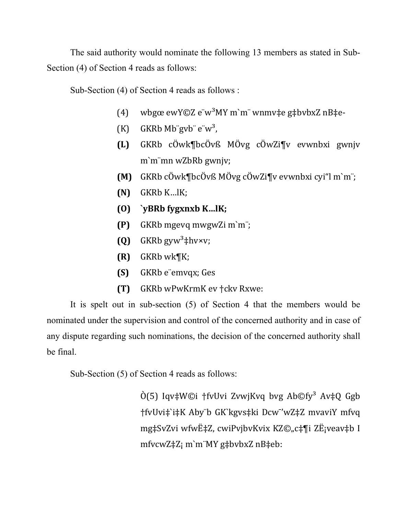The said authority would nominate the following 13 members as stated in Sub-Section (4) of Section 4 reads as follows:

Sub-Section (4) of Section 4 reads as follows :

- (4) wbgœ ewY©Z e w<sup>3</sup>MY m`m wnmv‡e g‡bvbxZ nB‡e-
- (K) GKRb $Mb$ "gvb"  $e^w$ <sup>3</sup>,
- **(L)** GKRb( cÖwk¶bcÖvß( MÖvg( cÖwZi¶v( evwnbxi( gwnjv( m`m¨mn wZbRb gwnjv;
- **(M)** GKRb cÖwk¶bcÖvß MÖvg cÖwZi¶v evwnbxi cvi"l m`m¨;
- $(N)$  GKRb K…lK;
- **(O) `yBRb\$fygxnxb\$K…lK;**
- **(P)** GKRb mgevq mwgwZi m`m¨;
- **(Q)** GKRb  $gyw^3 \n\ddagger hvxv;$
- $(R)$  GKRb wk $\mathcal{K}$ ;
- **(S)** GKRb e emvqx; Ges
- **(T)** GKRb wPwKrmK ev †ckv Rxwe:

It is spelt out in sub-section (5) of Section 4 that the members would be nominated under the supervision and control of the concerned authority and in case of any dispute regarding such nominations, the decision of the concerned authority shall be final.

Sub-Section (5) of Section 4 reads as follows:

 $\hat{O}(5)$  Iqv‡W©i †fvUvi ZvwjKvq bvg Ab©fy<sup>3</sup> Av‡Q Ggb †fvUvi‡`i‡K( Aby¨b( GK`kgvs‡ki( Dcw"'wZ‡Z(mvaviY(mfvq( mg‡SvZvi wfwˇZ, cwiPvjbvKvix KZ©"c‡¶i ZË¡veav‡b I mfvcwZ\\ti2; m`m"MY g\ti2bvbxZ nB\teb: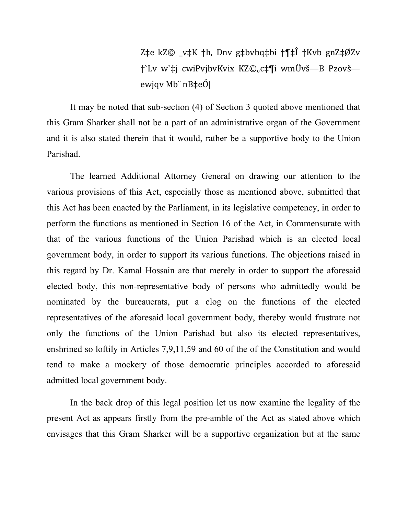Z‡e kZ© \_v‡K †h, Dnv g‡bvbq‡bi †¶‡Î †Kvb gnZ‡ØZv †`Lv( w`‡j( cwiPvjbvKvix( KZ©"c‡¶i( wmÜvš—B( Pzovš ewjqv Mb¨ nB‡eÓ|

It may be noted that sub-section (4) of Section 3 quoted above mentioned that this Gram Sharker shall not be a part of an administrative organ of the Government and it is also stated therein that it would, rather be a supportive body to the Union Parishad.

The learned Additional Attorney General on drawing our attention to the various provisions of this Act, especially those as mentioned above, submitted that this Act has been enacted by the Parliament, in its legislative competency, in order to perform the functions as mentioned in Section 16 of the Act, in Commensurate with that of the various functions of the Union Parishad which is an elected local government body, in order to support its various functions. The objections raised in this regard by Dr. Kamal Hossain are that merely in order to support the aforesaid elected body, this non-representative body of persons who admittedly would be nominated by the bureaucrats, put a clog on the functions of the elected representatives of the aforesaid local government body, thereby would frustrate not only the functions of the Union Parishad but also its elected representatives, enshrined so loftily in Articles  $7,9,11,59$  and 60 of the of the Constitution and would tend to make a mockery of those democratic principles accorded to aforesaid admitted local government body.

In the back drop of this legal position let us now examine the legality of the present Act as appears firstly from the pre-amble of the Act as stated above which envisages that this Gram Sharker will be a supportive organization but at the same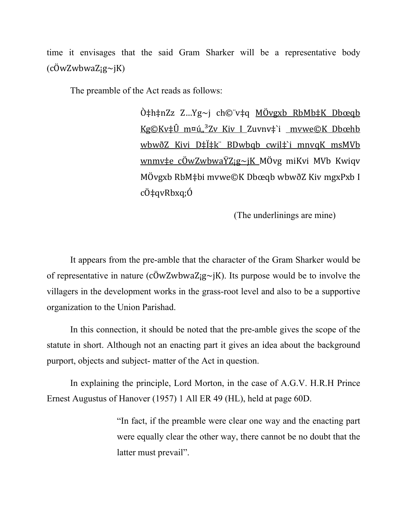time it envisages that the said Gram Sharker will be a representative body  $(c\ddot{O}$ w $Z$ w $b$ wa $Z$ ; $g\sim jK$ )

The preamble of the Act reads as follows:

 $\hat{O}$ ‡h‡nZz Z…Yg~j ch©¨v‡q MÖvgxb RbMb‡K Dbœqb Kg $\mathbb{C}$ Kv $\ddagger$ Û m¤ú  $\alpha$ <sup>3</sup>Zv Kiv I Zuvnv $\ddagger$ i mvwe $\mathbb{C}$ K Dbœhb wbwðZ Kivi D‡Ï‡k¨ BDwbqb cwil‡`i mnvqK msMVb wnmv‡e cÖwZwbwaŸZ;g~jK MÖvg miKvi MVb Kwiqv MÖvgxb RbM‡bi mvwe©K Dbœqb wbwðZ Kiv mgxPxb I cÖ‡qvRbxq;Ó

(The underlinings are mine)

It appears from the pre-amble that the character of the Gram Sharker would be of representative in nature (cOwZwbwaZ<sub>i</sub>g~jK). Its purpose would be to involve the villagers in the development works in the grass-root level and also to be a supportive organization to the Union Parishad.

In this connection, it should be noted that the pre-amble gives the scope of the statute in short. Although not an enacting part it gives an idea about the background purport, objects and subject- matter of the Act in question.

In explaining the principle, Lord Morton, in the case of A.G.V. H.R.H Prince Ernest Augustus of Hanover (1957) 1 All ER 49 (HL), held at page 60D.

> "In fact, if the preamble were clear one way and the enacting part were equally clear the other way, there cannot be no doubt that the latter must prevail".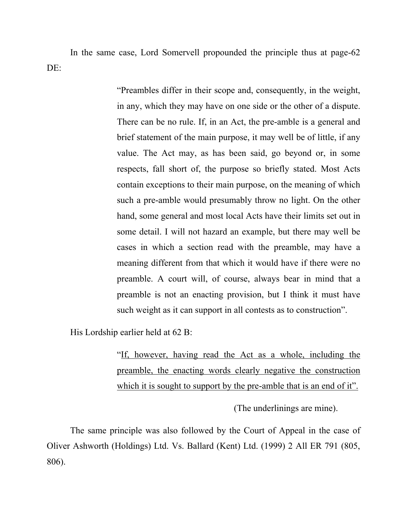In the same case, Lord Somervell propounded the principle thus at page-62 DE:

> "Preambles differ in their scope and, consequently, in the weight, in any, which they may have on one side or the other of a dispute. There can be no rule. If, in an Act, the pre-amble is a general and brief statement of the main purpose, it may well be of little, if any value. The Act may, as has been said, go beyond or, in some respects, fall short of, the purpose so briefly stated. Most Acts contain exceptions to their main purpose, on the meaning of which such a pre-amble would presumably throw no light. On the other hand, some general and most local Acts have their limits set out in some detail. I will not hazard an example, but there may well be cases in which a section read with the preamble, may have a meaning different from that which it would have if there were no preamble. A court will, of course, always bear in mind that a preamble is not an enacting provision, but I think it must have such weight as it can support in all contests as to construction".

His Lordship earlier held at 62 B:

"If, however, having read the Act as a whole, including the preamble, the enacting words clearly negative the construction which it is sought to support by the pre-amble that is an end of it".

(The underlinings are mine).

The same principle was also followed by the Court of Appeal in the case of Oliver Ashworth (Holdings) Ltd. Vs. Ballard (Kent) Ltd. (1999) 2 All ER 791 (805, 806).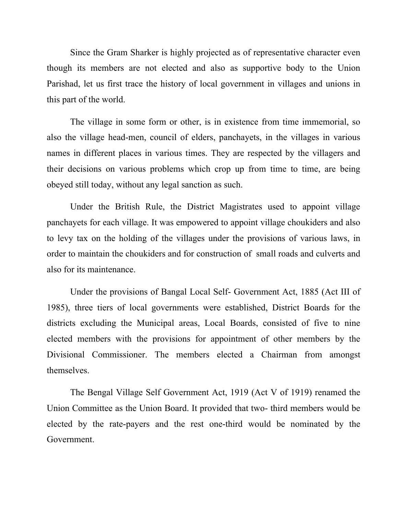Since the Gram Sharker is highly projected as of representative character even though its members are not elected and also as supportive body to the Union Parishad, let us first trace the history of local government in villages and unions in this part of the world.

The village in some form or other, is in existence from time immemorial, so also the village head-men, council of elders, panchayets, in the villages in various names in different places in various times. They are respected by the villagers and their decisions on various problems which crop up from time to time, are being obeyed still today, without any legal sanction as such.

Under the British Rule, the District Magistrates used to appoint village panchayets for each village. It was empowered to appoint village choukiders and also to levy tax on the holding of the villages under the provisions of various laws, in order to maintain the choukiders and for construction of small roads and culverts and also for its maintenance.

Under the provisions of Bangal Local Self- Government Act, 1885 (Act III of 1985), three tiers of local governments were established, District Boards for the districts excluding the Municipal areas, Local Boards, consisted of five to nine elected members with the provisions for appointment of other members by the Divisional Commissioner. The members elected a Chairman from amongst themselves.

The Bengal Village Self Government Act, 1919 (Act V of 1919) renamed the Union Committee as the Union Board. It provided that two- third members would be elected by the rate-payers and the rest one-third would be nominated by the Government.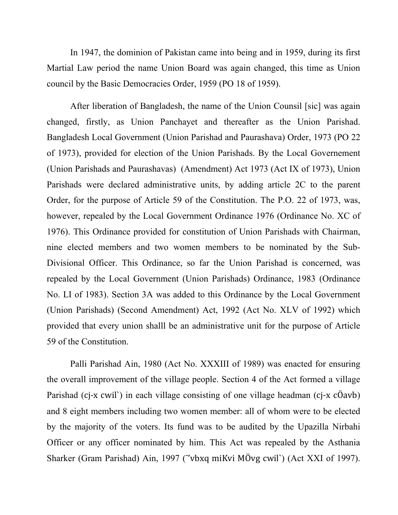In 1947, the dominion of Pakistan came into being and in 1959, during its first Martial Law period the name Union Board was again changed, this time as Union council by the Basic Democracies Order, 1959 (PO 18 of 1959).

After liberation of Bangladesh, the name of the Union Counsil [sic] was again changed, firstly, as Union Panchayet and thereafter as the Union Parishad. Bangladesh Local Government (Union Parishad and Paurashava) Order, 1973 (PO 22 of 1973), provided for election of the Union Parishads. By the Local Governement (Union Parishads and Paurashavas) (Amendment) Act 1973 (Act IX of 1973), Union Parishads were declared administrative units, by adding article 2C to the parent Order, for the purpose of Article 59 of the Constitution. The P.O. 22 of 1973, was, however, repealed by the Local Government Ordinance 1976 (Ordinance No. XC of 1976). This Ordinance provided for constitution of Union Parishads with Chairman, nine elected members and two women members to be nominated by the Sub-Divisional Officer. This Ordinance, so far the Union Parishad is concerned, was repealed by the Local Government (Union Parishads) Ordinance, 1983 (Ordinance No. LI of 1983). Section 3A was added to this Ordinance by the Local Government (Union Parishads) (Second Amendment) Act, 1992 (Act No. XLV of 1992) which provided that every union shalll be an administrative unit for the purpose of Article 59 of the Constitution.

Palli Parishad Ain, 1980 (Act No. XXXIII of 1989) was enacted for ensuring the overall improvement of the village people. Section 4 of the Act formed a village Parishad (cj-x cwil`) in each village consisting of one village headman (cj-x  $c\ddot{o}$ avb) and 8 eight members including two women member: all of whom were to be elected by the majority of the voters. Its fund was to be audited by the Upazilla Nirbahi Officer or any officer nominated by him. This Act was repealed by the Asthania Sharker (Gram Parishad) Ain, 1997 ("vbxq miKvi MÖvg cwil") (Act XXI of 1997).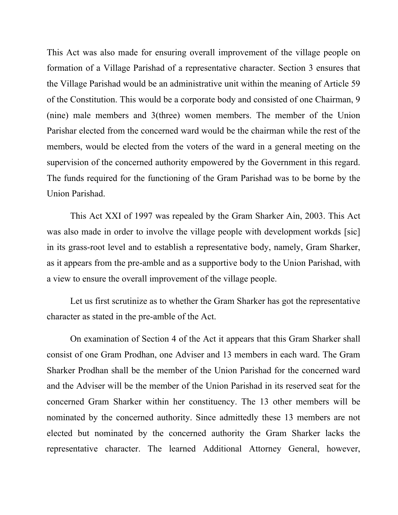This Act was also made for ensuring overall improvement of the village people on formation of a Village Parishad of a representative character. Section 3 ensures that the Village Parishad would be an administrative unit within the meaning of Article 59 of the Constitution. This would be a corporate body and consisted of one Chairman, 9 (nine) male members and 3(three) women members. The member of the Union Parishar elected from the concerned ward would be the chairman while the rest of the members, would be elected from the voters of the ward in a general meeting on the supervision of the concerned authority empowered by the Government in this regard. The funds required for the functioning of the Gram Parishad was to be borne by the Union Parishad.

This Act XXI of 1997 was repealed by the Gram Sharker Ain, 2003. This Act was also made in order to involve the village people with development workds [sic] in its grass-root level and to establish a representative body, namely, Gram Sharker, as it appears from the pre-amble and as a supportive body to the Union Parishad, with a view to ensure the overall improvement of the village people.

Let us first scrutinize as to whether the Gram Sharker has got the representative character as stated in the pre-amble of the Act.

On examination of Section 4 of the Act it appears that this Gram Sharker shall consist of one Gram Prodhan, one Adviser and 13 members in each ward. The Gram Sharker Prodhan shall be the member of the Union Parishad for the concerned ward and the Adviser will be the member of the Union Parishad in its reserved seat for the concerned Gram Sharker within her constituency. The 13 other members will be nominated by the concerned authority. Since admittedly these 13 members are not elected but nominated by the concerned authority the Gram Sharker lacks the representative character. The learned Additional Attorney General, however,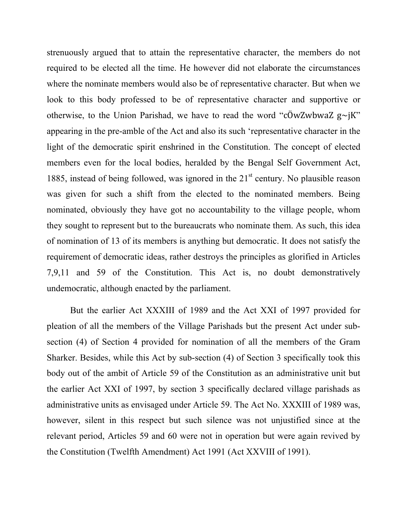strenuously argued that to attain the representative character, the members do not required to be elected all the time. He however did not elaborate the circumstances where the nominate members would also be of representative character. But when we look to this body professed to be of representative character and supportive or otherwise, to the Union Parishad, we have to read the word "cÖwZwbwaZ $g~\sim jK$ " appearing in the pre-amble of the Act and also its such 'representative character in the light of the democratic spirit enshrined in the Constitution. The concept of elected members even for the local bodies, heralded by the Bengal Self Government Act, 1885, instead of being followed, was ignored in the  $21<sup>st</sup>$  century. No plausible reason was given for such a shift from the elected to the nominated members. Being nominated, obviously they have got no accountability to the village people, whom they sought to represent but to the bureaucrats who nominate them. As such, this idea of nomination of 13 of its members is anything but democratic. It does not satisfy the requirement of democratic ideas, rather destroys the principles as glorified in Articles 7,9,11 and 59 of the Constitution. This Act is, no doubt demonstratively undemocratic, although enacted by the parliament.

But the earlier Act XXXIII of 1989 and the Act XXI of 1997 provided for pleation of all the members of the Village Parishads but the present Act under subsection (4) of Section 4 provided for nomination of all the members of the Gram Sharker. Besides, while this Act by sub-section (4) of Section 3 specifically took this body out of the ambit of Article 59 of the Constitution as an administrative unit but the earlier Act XXI of 1997, by section 3 specifically declared village parishads as administrative units as envisaged under Article 59. The Act No. XXXIII of 1989 was, however, silent in this respect but such silence was not unjustified since at the relevant period, Articles 59 and 60 were not in operation but were again revived by the Constitution (Twelfth Amendment) Act 1991 (Act XXVIII of 1991).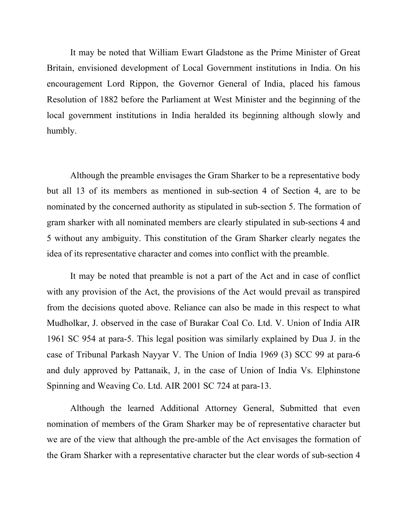It may be noted that William Ewart Gladstone as the Prime Minister of Great Britain, envisioned development of Local Government institutions in India. On his encouragement Lord Rippon, the Governor General of India, placed his famous Resolution of 1882 before the Parliament at West Minister and the beginning of the local government institutions in India heralded its beginning although slowly and humbly.

Although the preamble envisages the Gram Sharker to be a representative body but all 13 of its members as mentioned in sub-section 4 of Section 4, are to be nominated by the concerned authority as stipulated in sub-section 5. The formation of gram sharker with all nominated members are clearly stipulated in sub-sections 4 and 5 without any ambiguity. This constitution of the Gram Sharker clearly negates the idea of its representative character and comes into conflict with the preamble.

It may be noted that preamble is not a part of the Act and in case of conflict with any provision of the Act, the provisions of the Act would prevail as transpired from the decisions quoted above. Reliance can also be made in this respect to what Mudholkar, J. observed in the case of Burakar Coal Co. Ltd. V. Union of India AIR 1961 SC 954 at para-5. This legal position was similarly explained by Dua J. in the case of Tribunal Parkash Nayyar V. The Union of India 1969 (3) SCC 99 at para-6 and duly approved by Pattanaik, J, in the case of Union of India Vs. Elphinstone Spinning and Weaving Co. Ltd. AIR 2001 SC 724 at para-13.

Although the learned Additional Attorney General, Submitted that even nomination of members of the Gram Sharker may be of representative character but we are of the view that although the pre-amble of the Act envisages the formation of the Gram Sharker with a representative character but the clear words of sub-section 4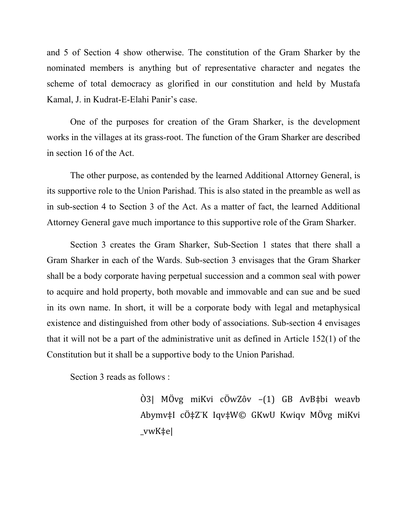and 5 of Section 4 show otherwise. The constitution of the Gram Sharker by the nominated members is anything but of representative character and negates the scheme of total democracy as glorified in our constitution and held by Mustafa Kamal, J. in Kudrat-E-Elahi Panir's case.

One of the purposes for creation of the Gram Sharker, is the development works in the villages at its grass-root. The function of the Gram Sharker are described in section 16 of the Act.

The other purpose, as contended by the learned Additional Attorney General, is its supportive role to the Union Parishad. This is also stated in the preamble as well as in sub-section 4 to Section 3 of the Act. As a matter of fact, the learned Additional Attorney General gave much importance to this supportive role of the Gram Sharker.

Section 3 creates the Gram Sharker, Sub-Section 1 states that there shall a Gram Sharker in each of the Wards. Sub-section 3 envisages that the Gram Sharker shall be a body corporate having perpetual succession and a common seal with power to acquire and hold property, both movable and immovable and can sue and be sued in its own name. In short, it will be a corporate body with legal and metaphysical existence and distinguished from other body of associations. Sub-section 4 envisages that it will not be a part of the administrative unit as defined in Article 152(1) of the Constitution but it shall be a supportive body to the Union Parishad.

Section 3 reads as follows :

Ò3| MÖvg miKvi cÖwZôv –(1) GB AvB‡bi weavb Abymv‡I cÖ‡Z¨K Iqv‡W© GKwU Kwiqv MÖvg miKvi \_vwK‡e|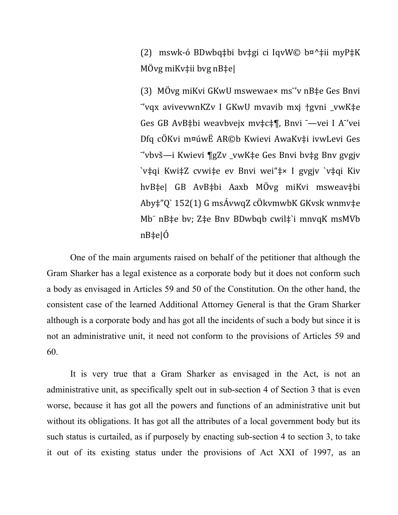(2) mswk-ó BDwbq‡bi bv‡gi ci IqvW© b¤^‡ii myP‡K MÖvg miKv $\ddagger$ ii bvg nB $\ddagger$ e|

(3) MÖvg miKvi GKwU mswewae× ms"v nB‡e Ges Bnvi "vqx avivevwnKZv I GKwU mvavib mxj †gvni \_vwK‡e Ges GB AvB‡bi weavbvejx mv‡c‡¶, Bnvi <sup>-</sup>—vei I A<sup>-</sup>'vei Dfq cÖKvi m¤úwË AR©b Kwievi AwaKv‡i ivwLevi Ges -'vbvš-i Kwievi ¶gZv\_vwK‡e Ges Bnvi bv‡g Bnv gvgjv `v‡qi Kwi‡Z cvwi‡e ev Bnvi wei"‡× I gvgjv `v‡qi Kiv hvB‡e| GB AvB‡bi Aaxb MÖvg miKvi msweav‡bi Aby‡"Q` 152(1) G msÁvwqZ cÖkvmwbK GKvsk wnmv‡e Mb nB‡e bv; Z‡e Bnv BDwbqb cwil‡`i mnvqK msMVb nB‡e|Ó

One of the main arguments raised on behalf of the petitioner that although the Gram Sharker has a legal existence as a corporate body but it does not conform such a body as envisaged in Articles 59 and 50 of the Constitution. On the other hand, the consistent case of the learned Additional Attorney General is that the Gram Sharker although is a corporate body and has got all the incidents of such a body but since it is not an administrative unit, it need not conform to the provisions of Articles 59 and 60.

It is very true that a Gram Sharker as envisaged in the Act, is not an administrative unit, as specifically spelt out in sub-section 4 of Section 3 that is even worse, because it has got all the powers and functions of an administrative unit but without its obligations. It has got all the attributes of a local government body but its such status is curtailed, as if purposely by enacting sub-section 4 to section 3, to take it out of its existing status under the provisions of Act XXI of 1997, as an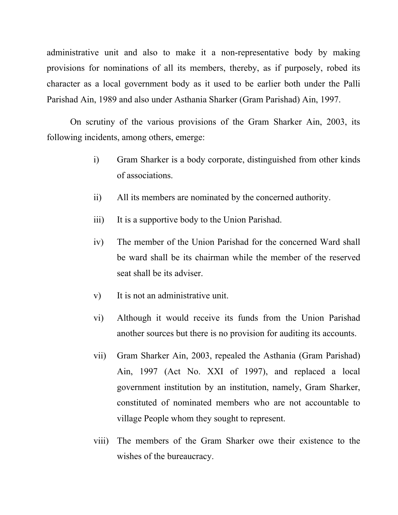administrative unit and also to make it a non-representative body by making provisions for nominations of all its members, thereby, as if purposely, robed its character as a local government body as it used to be earlier both under the Palli Parishad Ain, 1989 and also under Asthania Sharker (Gram Parishad) Ain, 1997.

On scrutiny of the various provisions of the Gram Sharker Ain, 2003, its following incidents, among others, emerge:

- i) Gram Sharker is a body corporate, distinguished from other kinds of associations.
- ii) All its members are nominated by the concerned authority.
- iii) It is a supportive body to the Union Parishad.
- iv) The member of the Union Parishad for the concerned Ward shall be ward shall be its chairman while the member of the reserved seat shall be its adviser.
- v) It is not an administrative unit.
- vi) Although it would receive its funds from the Union Parishad another sources but there is no provision for auditing its accounts.
- vii) Gram Sharker Ain, 2003, repealed the Asthania (Gram Parishad) Ain, 1997 (Act No. XXI of 1997), and replaced a local government institution by an institution, namely, Gram Sharker, constituted of nominated members who are not accountable to village People whom they sought to represent.
- viii) The members of the Gram Sharker owe their existence to the wishes of the bureaucracy.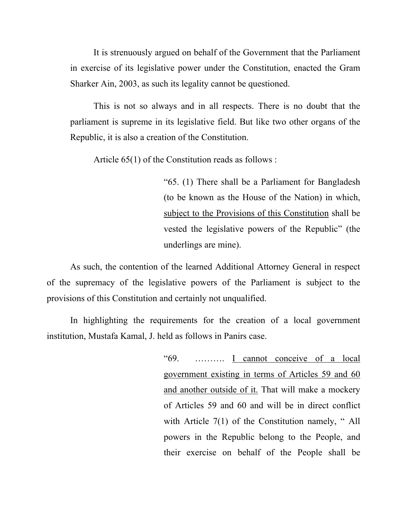It is strenuously argued on behalf of the Government that the Parliament in exercise of its legislative power under the Constitution, enacted the Gram Sharker Ain, 2003, as such its legality cannot be questioned.

This is not so always and in all respects. There is no doubt that the parliament is supreme in its legislative field. But like two other organs of the Republic, it is also a creation of the Constitution.

Article 65(1) of the Constitution reads as follows :

"65. (1) There shall be a Parliament for Bangladesh (to be known as the House of the Nation) in which, subject to the Provisions of this Constitution shall be vested the legislative powers of the Republic" (the underlings are mine).

As such, the contention of the learned Additional Attorney General in respect of the supremacy of the legislative powers of the Parliament is subject to the provisions of this Constitution and certainly not unqualified.

In highlighting the requirements for the creation of a local government institution, Mustafa Kamal, J. held as follows in Panirs case.

> "69. ………. I cannot conceive of a local government existing in terms of Articles 59 and 60 and another outside of it. That will make a mockery of Articles 59 and 60 and will be in direct conflict with Article 7(1) of the Constitution namely, "All powers in the Republic belong to the People, and their exercise on behalf of the People shall be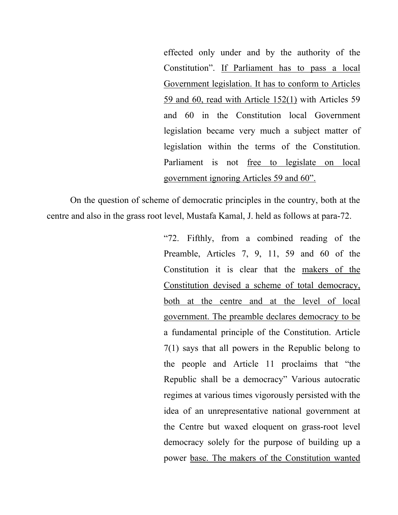effected only under and by the authority of the Constitution". If Parliament has to pass a local Government legislation. It has to conform to Articles 59 and 60, read with Article 152(1) with Articles 59 and 60 in the Constitution local Government legislation became very much a subject matter of legislation within the terms of the Constitution. Parliament is not free to legislate on local government ignoring Articles 59 and 60".

On the question of scheme of democratic principles in the country, both at the centre and also in the grass root level, Mustafa Kamal, J. held as follows at para-72.

> "72. Fifthly, from a combined reading of the Preamble, Articles 7, 9, 11, 59 and 60 of the Constitution it is clear that the makers of the Constitution devised a scheme of total democracy, both at the centre and at the level of local government. The preamble declares democracy to be a fundamental principle of the Constitution. Article 7(1) says that all powers in the Republic belong to the people and Article 11 proclaims that "the Republic shall be a democracy" Various autocratic regimes at various times vigorously persisted with the idea of an unrepresentative national government at the Centre but waxed eloquent on grass-root level democracy solely for the purpose of building up a power base. The makers of the Constitution wanted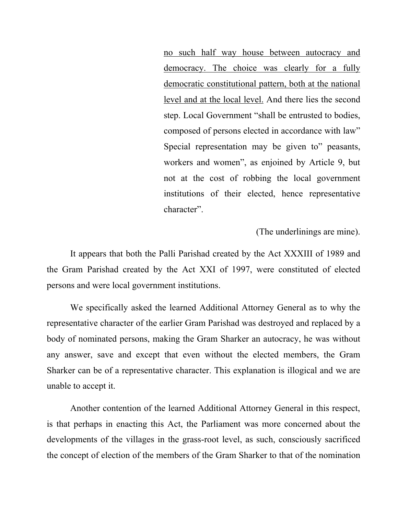no such half way house between autocracy and democracy. The choice was clearly for a fully democratic constitutional pattern, both at the national level and at the local level. And there lies the second step. Local Government "shall be entrusted to bodies, composed of persons elected in accordance with law" Special representation may be given to" peasants, workers and women", as enjoined by Article 9, but not at the cost of robbing the local government institutions of their elected, hence representative character".

(The underlinings are mine).

It appears that both the Palli Parishad created by the Act XXXIII of 1989 and the Gram Parishad created by the Act XXI of 1997, were constituted of elected persons and were local government institutions.

We specifically asked the learned Additional Attorney General as to why the representative character of the earlier Gram Parishad was destroyed and replaced by a body of nominated persons, making the Gram Sharker an autocracy, he was without any answer, save and except that even without the elected members, the Gram Sharker can be of a representative character. This explanation is illogical and we are unable to accept it.

Another contention of the learned Additional Attorney General in this respect, is that perhaps in enacting this Act, the Parliament was more concerned about the developments of the villages in the grass-root level, as such, consciously sacrificed the concept of election of the members of the Gram Sharker to that of the nomination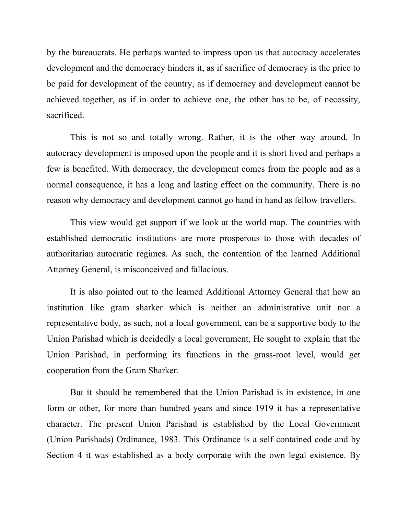by the bureaucrats. He perhaps wanted to impress upon us that autocracy accelerates development and the democracy hinders it, as if sacrifice of democracy is the price to be paid for development of the country, as if democracy and development cannot be achieved together, as if in order to achieve one, the other has to be, of necessity, sacrificed.

This is not so and totally wrong. Rather, it is the other way around. In autocracy development is imposed upon the people and it is short lived and perhaps a few is benefited. With democracy, the development comes from the people and as a normal consequence, it has a long and lasting effect on the community. There is no reason why democracy and development cannot go hand in hand as fellow travellers.

This view would get support if we look at the world map. The countries with established democratic institutions are more prosperous to those with decades of authoritarian autocratic regimes. As such, the contention of the learned Additional Attorney General, is misconceived and fallacious.

It is also pointed out to the learned Additional Attorney General that how an institution like gram sharker which is neither an administrative unit nor a representative body, as such, not a local government, can be a supportive body to the Union Parishad which is decidedly a local government, He sought to explain that the Union Parishad, in performing its functions in the grass-root level, would get cooperation from the Gram Sharker.

But it should be remembered that the Union Parishad is in existence, in one form or other, for more than hundred years and since 1919 it has a representative character. The present Union Parishad is established by the Local Government (Union Parishads) Ordinance, 1983. This Ordinance is a self contained code and by Section 4 it was established as a body corporate with the own legal existence. By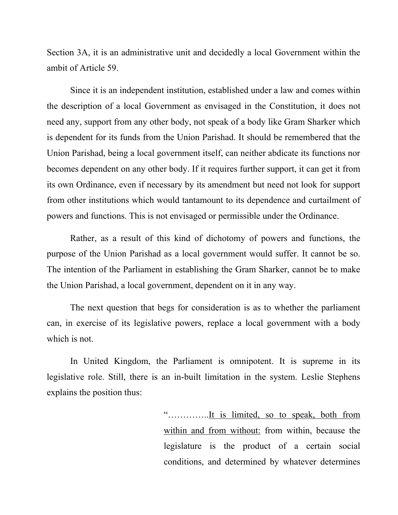Section 3A, it is an administrative unit and decidedly a local Government within the ambit of Article 59.

Since it is an independent institution, established under a law and comes within the description of a local Government as envisaged in the Constitution, it does not need any, support from any other body, not speak of a body like Gram Sharker which is dependent for its funds from the Union Parishad. It should be remembered that the Union Parishad, being a local government itself, can neither abdicate its functions nor becomes dependent on any other body. If it requires further support, it can get it from its own Ordinance, even if necessary by its amendment but need not look for support from other institutions which would tantamount to its dependence and curtailment of powers and functions. This is not envisaged or permissible under the Ordinance.

Rather, as a result of this kind of dichotomy of powers and functions, the purpose of the Union Parishad as a local government would suffer. It cannot be so. The intention of the Parliament in establishing the Gram Sharker, cannot be to make the Union Parishad, a local government, dependent on it in any way.

The next question that begs for consideration is as to whether the parliament can, in exercise of its legislative powers, replace a local government with a body which is not.

In United Kingdom, the Parliament is omnipotent. It is supreme in its legislative role. Still, there is an in-built limitation in the system. Leslie Stephens explains the position thus:

> "…………..It is limited, so to speak, both from within and from without: from within, because the legislature is the product of a certain social conditions, and determined by whatever determines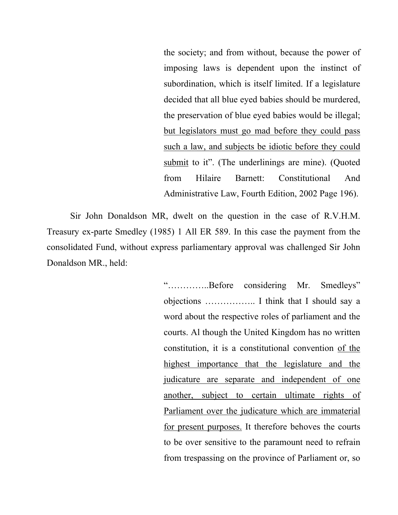the society; and from without, because the power of imposing laws is dependent upon the instinct of subordination, which is itself limited. If a legislature decided that all blue eyed babies should be murdered, the preservation of blue eyed babies would be illegal; but legislators must go mad before they could pass such a law, and subjects be idiotic before they could submit to it". (The underlinings are mine). (Quoted from Hilaire Barnett: Constitutional And Administrative Law, Fourth Edition, 2002 Page 196).

Sir John Donaldson MR, dwelt on the question in the case of R.V.H.M. Treasury ex-parte Smedley (1985) 1 All ER 589. In this case the payment from the consolidated Fund, without express parliamentary approval was challenged Sir John Donaldson MR., held:

> "…………..Before considering Mr. Smedleys" objections …………….. I think that I should say a word about the respective roles of parliament and the courts. Al though the United Kingdom has no written constitution, it is a constitutional convention of the highest importance that the legislature and the judicature are separate and independent of one another, subject to certain ultimate rights of Parliament over the judicature which are immaterial for present purposes. It therefore behoves the courts to be over sensitive to the paramount need to refrain from trespassing on the province of Parliament or, so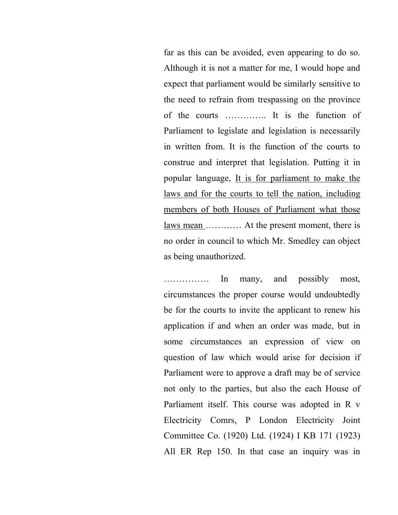far as this can be avoided, even appearing to do so. Although it is not a matter for me, I would hope and expect that parliament would be similarly sensitive to the need to refrain from trespassing on the province of the courts ………….. It is the function of Parliament to legislate and legislation is necessarily in written from. It is the function of the courts to construe and interpret that legislation. Putting it in popular language, It is for parliament to make the laws and for the courts to tell the nation, including members of both Houses of Parliament what those laws mean ............ At the present moment, there is no order in council to which Mr. Smedley can object as being unauthorized.

…………… In many, and possibly most, circumstances the proper course would undoubtedly be for the courts to invite the applicant to renew his application if and when an order was made, but in some circumstances an expression of view on question of law which would arise for decision if Parliament were to approve a draft may be of service not only to the parties, but also the each House of Parliament itself. This course was adopted in R v Electricity Comrs, P London Electricity Joint Committee Co. (1920) Ltd. (1924) I KB 171 (1923) All ER Rep 150. In that case an inquiry was in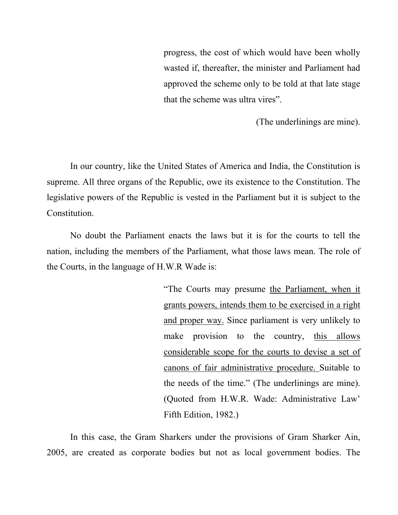progress, the cost of which would have been wholly wasted if, thereafter, the minister and Parliament had approved the scheme only to be told at that late stage that the scheme was ultra vires".

(The underlinings are mine).

In our country, like the United States of America and India, the Constitution is supreme. All three organs of the Republic, owe its existence to the Constitution. The legislative powers of the Republic is vested in the Parliament but it is subject to the Constitution.

No doubt the Parliament enacts the laws but it is for the courts to tell the nation, including the members of the Parliament, what those laws mean. The role of the Courts, in the language of H.W.R Wade is:

> "The Courts may presume the Parliament, when it grants powers, intends them to be exercised in a right and proper way. Since parliament is very unlikely to make provision to the country, this allows considerable scope for the courts to devise a set of canons of fair administrative procedure. Suitable to the needs of the time." (The underlinings are mine). (Quoted from H.W.R. Wade: Administrative Law' Fifth Edition, 1982.)

In this case, the Gram Sharkers under the provisions of Gram Sharker Ain, 2005, are created as corporate bodies but not as local government bodies. The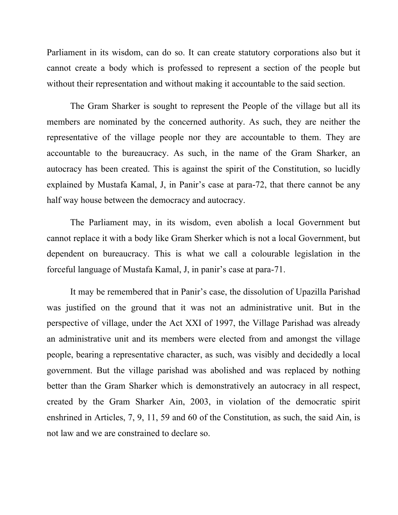Parliament in its wisdom, can do so. It can create statutory corporations also but it cannot create a body which is professed to represent a section of the people but without their representation and without making it accountable to the said section.

The Gram Sharker is sought to represent the People of the village but all its members are nominated by the concerned authority. As such, they are neither the representative of the village people nor they are accountable to them. They are accountable to the bureaucracy. As such, in the name of the Gram Sharker, an autocracy has been created. This is against the spirit of the Constitution, so lucidly explained by Mustafa Kamal, J, in Panir's case at para-72, that there cannot be any half way house between the democracy and autocracy.

The Parliament may, in its wisdom, even abolish a local Government but cannot replace it with a body like Gram Sherker which is not a local Government, but dependent on bureaucracy. This is what we call a colourable legislation in the forceful language of Mustafa Kamal, J, in panir's case at para-71.

It may be remembered that in Panir's case, the dissolution of Upazilla Parishad was justified on the ground that it was not an administrative unit. But in the perspective of village, under the Act XXI of 1997, the Village Parishad was already an administrative unit and its members were elected from and amongst the village people, bearing a representative character, as such, was visibly and decidedly a local government. But the village parishad was abolished and was replaced by nothing better than the Gram Sharker which is demonstratively an autocracy in all respect, created by the Gram Sharker Ain, 2003, in violation of the democratic spirit enshrined in Articles, 7, 9, 11, 59 and 60 of the Constitution, as such, the said Ain, is not law and we are constrained to declare so.